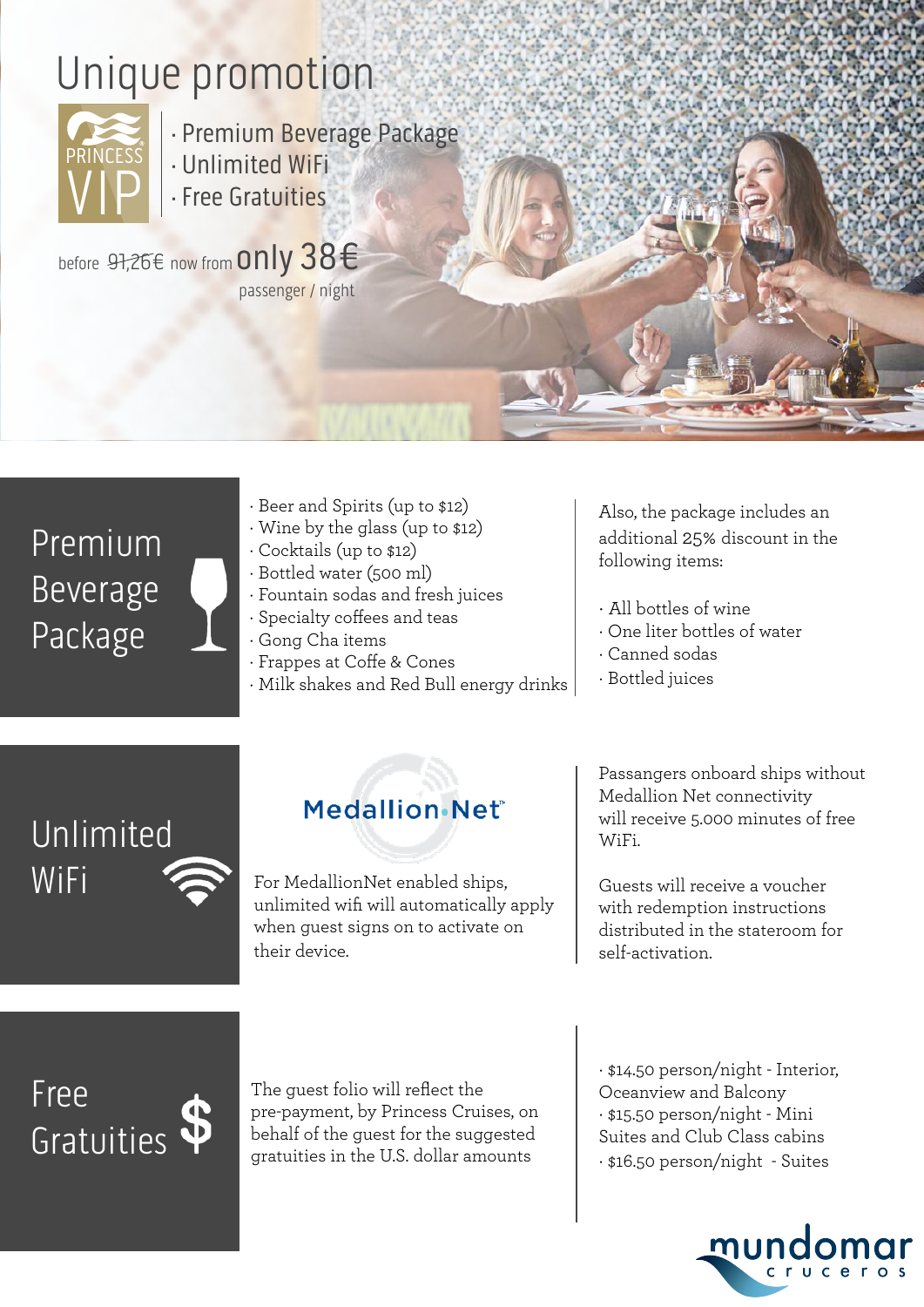# Unique promotion



· Premium Beverage Package

- · Unlimited WiFi
- · Free Gratuities

before 97,26€ now from Only 38€ passenger / night

## Premium Beverage Package

- · Beer and Spirits (up to \$12)
- · Wine by the glass (up to \$12)
- · Cocktails (up to \$12)
- · Bottled water (500 ml)
- · Fountain sodas and fresh juices
- · Specialty coffees and teas
- · Gong Cha items
- · Frappes at Coffe & Cones
- · Milk shakes and Red Bull energy drinks

Also, the package includes an additional 25% discount in the following items:

- · All bottles of wine
- · One liter bottles of water
- · Canned sodas
- · Bottled juices

## Unlimited WiFi

### Medallion Net®

For MedallionNet enabled ships, unlimited wifi will automatically apply when guest signs on to activate on their device.

Passangers onboard ships without Medallion Net connectivity will receive 5.000 minutes of free WiFi.

Guests will receive a voucher with redemption instructions distributed in the stateroom for self-activation.

Free Gratuities

The guest folio will reflect the pre-payment, by Princess Cruises, on behalf of the guest for the suggested gratuities in the U.S. dollar amounts

· \$14.50 person/night - Interior, Oceanview and Balcony · \$15.50 person/night - Mini Suites and Club Class cabins · \$16.50 person/night - Suites